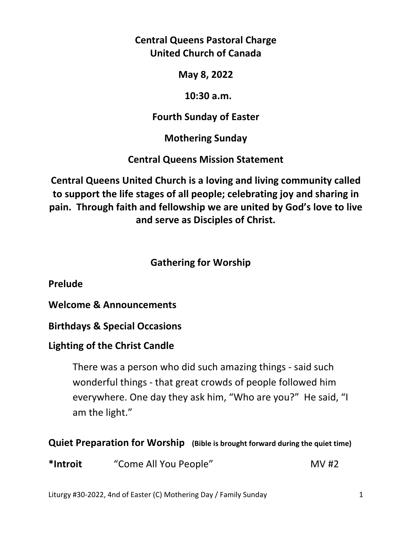**Central Queens Pastoral Charge United Church of Canada** 

**May 8, 2022** 

 **10:30 a.m.** 

**Fourth Sunday of Easter** 

**Mothering Sunday** 

**Central Queens Mission Statement** 

**Central Queens United Church is a loving and living community called to support the life stages of all people; celebrating joy and sharing in pain. Through faith and fellowship we are united by God's love to live and serve as Disciples of Christ.**

# **Gathering for Worship**

**Prelude** 

**Welcome & Announcements** 

**Birthdays & Special Occasions** 

## **Lighting of the Christ Candle**

There was a person who did such amazing things - said such wonderful things - that great crowds of people followed him everywhere. One day they ask him, "Who are you?" He said, "I am the light."

# **Quiet Preparation for Worship (Bible is brought forward during the quiet time)**

| *Introit | "Come All You People" | MV#2 |
|----------|-----------------------|------|
|----------|-----------------------|------|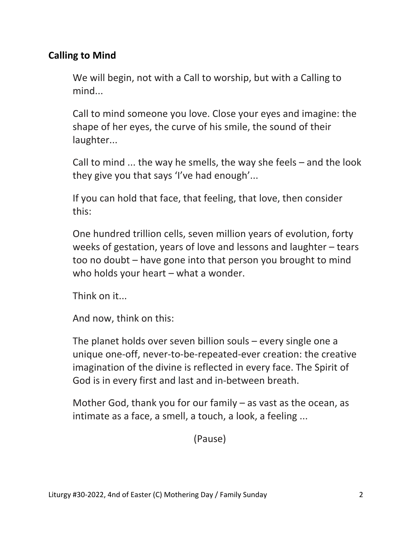## **Calling to Mind**

 We will begin, not with a Call to worship, but with a Calling to mind...

 Call to mind someone you love. Close your eyes and imagine: the shape of her eyes, the curve of his smile, the sound of their laughter...

 Call to mind ... the way he smells, the way she feels – and the look they give you that says 'I've had enough'...

 If you can hold that face, that feeling, that love, then consider this:

 One hundred trillion cells, seven million years of evolution, forty weeks of gestation, years of love and lessons and laughter – tears too no doubt – have gone into that person you brought to mind who holds your heart – what a wonder.

Think on it...

And now, think on this:

The planet holds over seven billion souls – every single one a unique one-off, never-to-be-repeated-ever creation: the creative imagination of the divine is reflected in every face. The Spirit of God is in every first and last and in-between breath.

 Mother God, thank you for our family – as vast as the ocean, as intimate as a face, a smell, a touch, a look, a feeling ...

(Pause)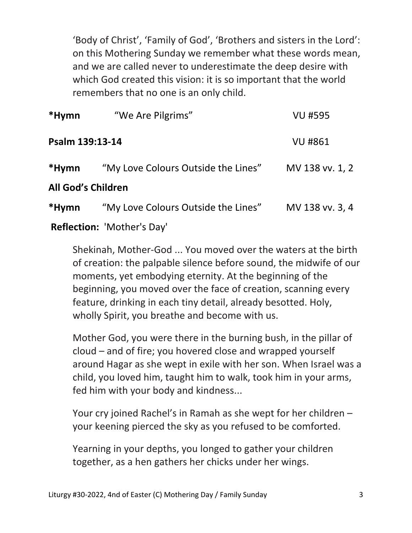'Body of Christ', 'Family of God', 'Brothers and sisters in the Lord': on this Mothering Sunday we remember what these words mean, and we are called never to underestimate the deep desire with which God created this vision: it is so important that the world remembers that no one is an only child.

| *Hymn              | "We Are Pilgrims"                   | <b>VU #595</b>  |
|--------------------|-------------------------------------|-----------------|
| Psalm 139:13-14    |                                     | <b>VU #861</b>  |
| *Hymn              | "My Love Colours Outside the Lines" | MV 138 vv. 1, 2 |
| All God's Children |                                     |                 |
| *Hymn              | "My Love Colours Outside the Lines" | MV 138 vv. 3, 4 |
|                    | Reflection: 'Mother's Day'          |                 |

Shekinah, Mother-God ... You moved over the waters at the birth of creation: the palpable silence before sound, the midwife of our moments, yet embodying eternity. At the beginning of the beginning, you moved over the face of creation, scanning every feature, drinking in each tiny detail, already besotted. Holy, wholly Spirit, you breathe and become with us.

 Mother God, you were there in the burning bush, in the pillar of cloud – and of fire; you hovered close and wrapped yourself around Hagar as she wept in exile with her son. When Israel was a child, you loved him, taught him to walk, took him in your arms, fed him with your body and kindness...

 Your cry joined Rachel's in Ramah as she wept for her children – your keening pierced the sky as you refused to be comforted.

 Yearning in your depths, you longed to gather your children together, as a hen gathers her chicks under her wings.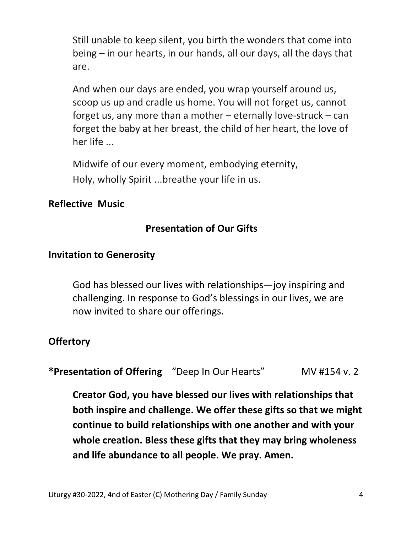Still unable to keep silent, you birth the wonders that come into being – in our hearts, in our hands, all our days, all the days that are.

 And when our days are ended, you wrap yourself around us, scoop us up and cradle us home. You will not forget us, cannot forget us, any more than a mother – eternally love-struck – can forget the baby at her breast, the child of her heart, the love of her life ...

 Midwife of our every moment, embodying eternity, Holy, wholly Spirit ...breathe your life in us.

## **Reflective Music**

# **Presentation of Our Gifts**

## **Invitation to Generosity**

 God has blessed our lives with relationships—joy inspiring and challenging. In response to God's blessings in our lives, we are now invited to share our offerings.

## **Offertory**

**\*Presentation of Offering** "Deep In Our Hearts" MV #154 v. 2

**Creator God, you have blessed our lives with relationships that both inspire and challenge. We offer these gifts so that we might continue to build relationships with one another and with your whole creation. Bless these gifts that they may bring wholeness and life abundance to all people. We pray. Amen.**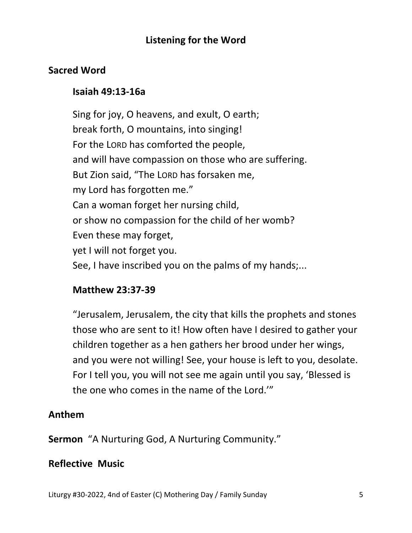## **Listening for the Word**

#### **Sacred Word**

#### **Isaiah 49:13-16a**

Sing for joy, O heavens, and exult, O earth; break forth, O mountains, into singing! For the LORD has comforted the people, and will have compassion on those who are suffering. But Zion said, "The LORD has forsaken me, my Lord has forgotten me." Can a woman forget her nursing child, or show no compassion for the child of her womb? Even these may forget, yet I will not forget you. See, I have inscribed you on the palms of my hands;...

#### **Matthew 23:37-39**

"Jerusalem, Jerusalem, the city that kills the prophets and stones those who are sent to it! How often have I desired to gather your children together as a hen gathers her brood under her wings, and you were not willing! See, your house is left to you, desolate. For I tell you, you will not see me again until you say, 'Blessed is the one who comes in the name of the Lord.'"

#### **Anthem**

**Sermon** "A Nurturing God, A Nurturing Community."

#### **Reflective Music**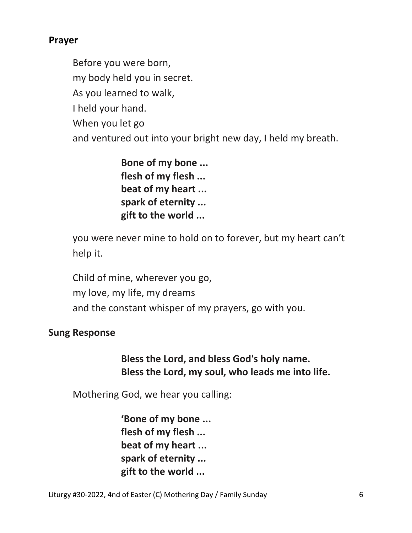## **Prayer**

 Before you were born, my body held you in secret. As you learned to walk, I held your hand. When you let go and ventured out into your bright new day, I held my breath.

> **Bone of my bone ... flesh of my flesh ... beat of my heart ... spark of eternity ... gift to the world ...**

 you were never mine to hold on to forever, but my heart can't help it.

 Child of mine, wherever you go, my love, my life, my dreams and the constant whisper of my prayers, go with you.

## **Sung Response**

# **Bless the Lord, and bless God's holy name. Bless the Lord, my soul, who leads me into life.**

Mothering God, we hear you calling:

 **'Bone of my bone ... flesh of my flesh ... beat of my heart ... spark of eternity ... gift to the world ...**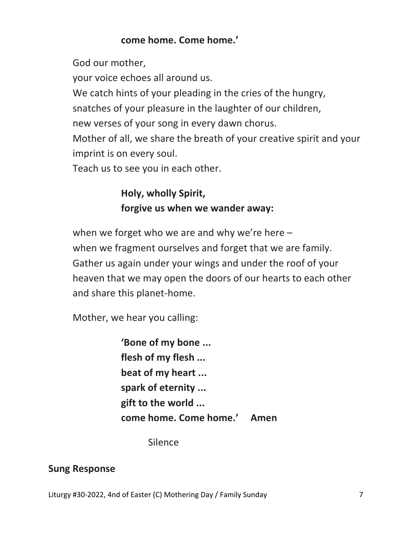### **come home. Come home.'**

 God our mother, your voice echoes all around us. We catch hints of your pleading in the cries of the hungry, snatches of your pleasure in the laughter of our children, new verses of your song in every dawn chorus. Mother of all, we share the breath of your creative spirit and your imprint is on every soul.

Teach us to see you in each other.

# **Holy, wholly Spirit, forgive us when we wander away:**

when we forget who we are and why we're here – when we fragment ourselves and forget that we are family. Gather us again under your wings and under the roof of your heaven that we may open the doors of our hearts to each other and share this planet-home.

Mother, we hear you calling:

 **'Bone of my bone ... flesh of my flesh ... beat of my heart ... spark of eternity ... gift to the world ... come home. Come home.' Amen**

Silence

#### **Sung Response**